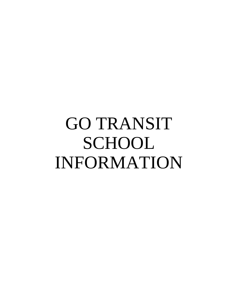# GO TRANSIT SCHOOL INFORMATION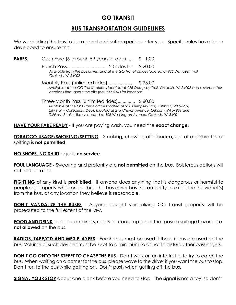## **GO TRANSIT**

## **BUS TRANSPORTATION GUIDELINES**

We want riding the bus to be a good and safe experience for you. Specific rules have been developed to ensure this.

**FARES**: Cash Fare (6 through 59 years of age)...... \$ 1.00

Punch Pass................................. 20 rides for \$ 20.00 *Available from the bus drivers and at the GO Transit offices located at 926 Dempsey Trail, Oshkosh, WI 54902*

Monthly Pass (unlimited rides)..................... \$ 25.00 *Available at the GO Transit offices located at 926 Dempsey Trail, Oshkosh, WI 54902 and several other* locations throughout the city (call 232-5340 for locations).

Three-Month Pass (unlimited rides).............. \$ 60.00 *Available at the GO Transit office located at 926 Dempsey Trail, Oshkosh, WI 54902, City Hall – Collections Dept. located at 215 Church Avenue, Oshkosh, WI 54901 and Oshkosh Public Library located at 106 Washington Avenue, Oshkosh, WI 54901*

**HAVE YOUR FARE READY** - If you are paying cash, you need the **exact change**.

**TOBACCO USAGE/SMOKING/SPITTING** - Smoking, chewing of tobacco, use of e-cigarettes or spitting is **not permitted**.

**NO SHOES, NO SHIRT** equals **no service**.

**FOUL LANGUAGE -** Swearing and profanity are **not permitted** on the bus. Boisterous actions will not be tolerated.

**FIGHTING** of any kind is **prohibited**. If anyone does anything that is dangerous or harmful to people or property while on the bus, the bus driver has the authority to expel the individual(s) from the bus, at any location they believe is reasonable.

**DON'T VANDALIZE THE BUSES** - Anyone caught vandalizing GO Transit property will be prosecuted to the full extent of the law.

**FOOD AND DRINK** in open containers, ready for consumption or that pose a spillage hazard are **not allowed** on the bus.

**RADIOS, TAPE/CD AND MP3 PLAYERS** - Earphones must be used if these items are used on the bus. Volume of such devices must be kept to a minimum so as not to disturb other passengers.

**DON'T GO ONTO THE STREET TO CHASE THE BUS** - Don't walk or run into traffic to try to catch the bus. When waiting on a corner for the bus, please wave to the driver if you want the bus to stop. Don't run to the bus while getting on. Don't push when getting off the bus.

**SIGNAL YOUR STOP** about one block before you need to stop. The signal is not a toy, so don't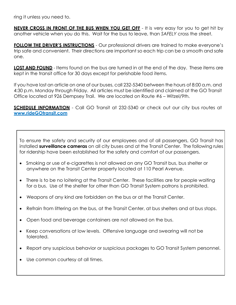ring it unless you need to.

**NEVER CROSS IN FRONT OF THE BUS WHEN YOU GET OFF** - It is very easy for you to get hit by another vehicle when you do this. Wait for the bus to leave, than *SAFELY* cross the street.

**FOLLOW THE DRIVER'S INSTRUCTIONS** - Our professional drivers are trained to make everyone's trip safe and convenient. Their directions are important so each trip can be a smooth and safe one.

**LOST AND FOUND** - Items found on the bus are turned in at the end of the day. These items are kept in the transit office for 30 days except for perishable food items.

If you have lost an article on one of our buses, call 232-5340 between the hours of 8:00 a.m. and 4:30 p.m. Monday through Friday. All articles must be identified and claimed at the GO Transit Office located at 926 Dempsey Trail. We are located on Route #6 – Witzel/9th.

**SCHEDULE INFORMATION** - Call GO Transit at 232-5340 or check out our city bus routes at **[www.rideGOtransit.com](http://www.ridegotransit.com/)**

To ensure the safety and security of our employees and of all passengers, GO Transit has installed **surveillance cameras** on all city buses and at the Transit Center. The following rules for ridership have been established for the safety and comfort of our passengers.

- Smoking or use of e-cigarettes is not allowed on any GO Transit bus, bus shelter or anywhere on the Transit Center property located at 110 Pearl Avenue.
- There is to be no loitering at the Transit Center. These facilities are for people waiting for a bus. Use of the shelter for other than GO Transit System patrons is prohibited.
- Weapons of any kind are forbidden on the bus or at the Transit Center.
- Refrain from littering on the bus, at the Transit Center, at bus shelters and at bus stops.
- Open food and beverage containers are not allowed on the bus.
- Keep conversations at low levels. Offensive language and swearing will not be tolerated.
- Report any suspicious behavior or suspicious packages to GO Transit System personnel.
- Use common courtesy at all times.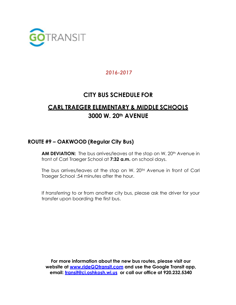

# **CITY BUS SCHEDULE FOR**

# **CARL TRAEGER ELEMENTARY & MIDDLE SCHOOLS 3000 W. 20th AVENUE**

#### **ROUTE #9 – OAKWOOD (Regular City Bus)**

**AM DEVIATION:** The bus arrives/leaves at the stop on W. 20<sup>th</sup> Avenue in front of Carl Traeger School at **7:32 a.m.** on school days.

The bus arrives/leaves at the stop on W. 20<sup>TH</sup> Avenue in front of Carl Traeger School :54 minutes after the hour.

If *transferring* to or from another city bus, please ask the driver for your transfer upon boarding the first bus.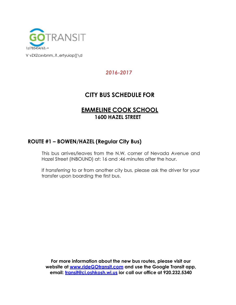

V vZXZcxvbnm,.?.,ertyuiop[]\d

## *2016-2017*

# **CITY BUS SCHEDULE FOR**

## **EMMELINE COOK SCHOOL 1600 HAZEL STREET**

#### **ROUTE #1 – BOWEN/HAZEL (Regular City Bus)**

This bus arrives/leaves from the N.W. corner of Nevada Avenue and Hazel Street (INBOUND) at: 16 and :46 minutes after the hour.

If *transferring* to or from another city bus, please ask the driver for your transfer upon boarding the first bus.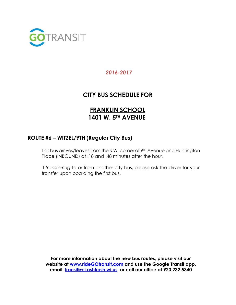

# **CITY BUS SCHEDULE FOR**

# **FRANKLIN SCHOOL 1401 W. 5TH AVENUE**

## **ROUTE #6 – WITZEL/9TH (Regular City Bus)**

This bus arrives/leaves from the S.W. corner of 9TH Avenue and Huntington Place (INBOUND) at :18 and :48 minutes after the hour.

If *transferring* to or from another city bus, please ask the driver for your transfer upon boarding the first bus.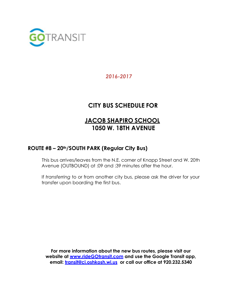

# **CITY BUS SCHEDULE FOR**

# **JACOB SHAPIRO SCHOOL 1050 W. 18TH AVENUE**

## **ROUTE #8 – 20th/SOUTH PARK (Regular City Bus)**

This bus arrives/leaves from the N.E. corner of Knapp Street and W. 20th Avenue (OUTBOUND) at :09 and :39 minutes after the hour.

If *transferring* to or from another city bus, please ask the driver for your transfer upon boarding the first bus.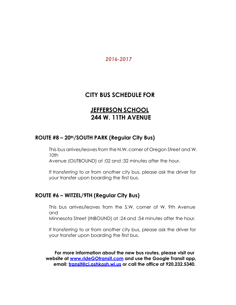## **CITY BUS SCHEDULE FOR**

# **JEFFERSON SCHOOL 244 W. 11TH AVENUE**

## **ROUTE #8 – 20th/SOUTH PARK (Regular City Bus)**

This bus arrives/leaves from the N.W. corner of Oregon Street and W. 10th

Avenue (OUTBOUND) at :02 and :32 minutes after the hour.

If *transferring* to or from another city bus, please ask the driver for your transfer upon boarding the first bus.

#### **ROUTE #6 – WITZEL/9TH (Regular City Bus)**

This bus arrives/leaves from the S.W. corner of W. 9th Avenue and

Minnesota Street (INBOUND) at :24 and :54 minutes after the hour.

If *transferring* to or from another city bus, please ask the driver for your transfer upon boarding the first bus.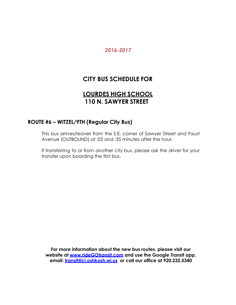# **CITY BUS SCHEDULE FOR**

# **LOURDES HIGH SCHOOL 110 N. SAWYER STREET**

#### **ROUTE #6 – WITZEL/9TH (Regular City Bus)**

This bus arrives/leaves from the S.E. corner of Sawyer Street and Faust Avenue (OUTBOUND) at :05 and :35 minutes after the hour.

If *transferring* to or from another city bus, please ask the driver for your transfer upon boarding the first bus.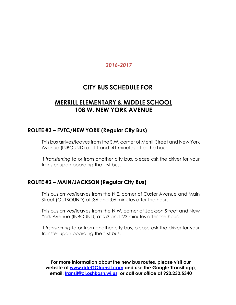# **CITY BUS SCHEDULE FOR**

# **MERRILL ELEMENTARY & MIDDLE SCHOOL 108 W. NEW YORK AVENUE**

#### **ROUTE #3 – FVTC/NEW YORK (Regular City Bus)**

This bus arrives/leaves from the S.W. corner of Merrill Street and New York Avenue (INBOUND) at :11 and :41 minutes after the hour.

If *transferring* to or from another city bus, please ask the driver for your transfer upon boarding the first bus.

## **ROUTE #2 – MAIN/JACKSON (Regular City Bus)**

This bus arrives/leaves from the N.E. corner of Custer Avenue and Main Street (OUTBOUND) at :36 and :06 minutes after the hour.

This bus arrives/leaves from the N.W. corner of Jackson Street and New York Avenue (INBOUND) at :53 and :23 minutes after the hour.

If *transferring* to or from another city bus, please ask the driver for your transfer upon boarding the first bus.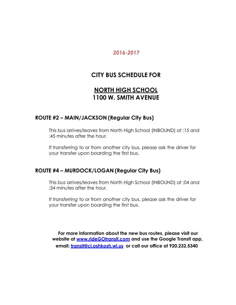## **CITY BUS SCHEDULE FOR**

# **NORTH HIGH SCHOOL 1100 W. SMITH AVENUE**

#### **ROUTE #2 – MAIN/JACKSON (Regular City Bus)**

This bus arrives/leaves from North High School (INBOUND) at :15 and :45 minutes after the hour.

If *transferring* to or from another city bus, please ask the driver for your transfer upon boarding the first bus.

#### **ROUTE #4 – MURDOCK/LOGAN (Regular City Bus)**

This bus arrives/leaves from North High School (INBOUND) at :04 and :34 minutes after the hour.

If *transferring* to or from another city bus, please ask the driver for your transfer upon boarding the first bus.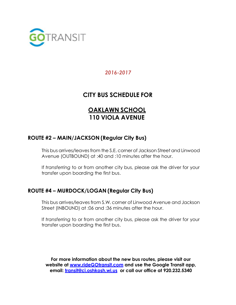

# **CITY BUS SCHEDULE FOR**

# **OAKLAWN SCHOOL 110 VIOLA AVENUE**

## **ROUTE #2 – MAIN/JACKSON (Regular City Bus)**

This bus arrives/leaves from the S.E. corner of Jackson Street and Linwood Avenue (OUTBOUND) at :40 and :10 minutes after the hour.

If *transferring* to or from another city bus, please ask the driver for your transfer upon boarding the first bus.

## **ROUTE #4 – MURDOCK/LOGAN (Regular City Bus)**

This bus arrives/leaves from S.W. corner of Linwood Avenue and Jackson Street (INBOUND) at :06 and :36 minutes after the hour.

If *transferring* to or from another city bus, please ask the driver for your transfer upon boarding the first bus.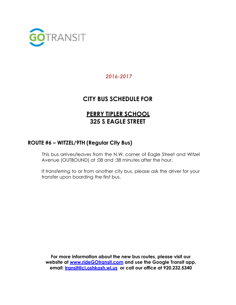

# **CITY BUS SCHEDULE FOR**

# **PERRY TIPLER SCHOOL 325 S EAGLE STREET**

## **ROUTE #6 – WITZEL/9TH (Regular City Bus)**

This bus arrives/leaves from the N.W. corner of Eagle Street and Witzel Avenue (OUTBOUND) at :08 and :38 minutes after the hour.

If *transferring* to or from another city bus, please ask the driver for your transfer upon boarding the first bus.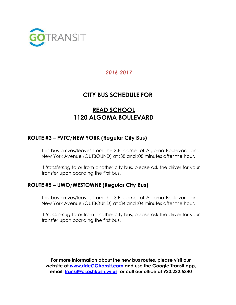

# **CITY BUS SCHEDULE FOR**

# **READ SCHOOL 1120 ALGOMA BOULEVARD**

## **ROUTE #3 – FVTC/NEW YORK (Regular City Bus)**

This bus arrives/leaves from the S.E. corner of Algoma Boulevard and New York Avenue (OUTBOUND) at :38 and :08 minutes after the hour.

If *transferring* to or from another city bus, please ask the driver for your transfer upon boarding the first bus.

## **ROUTE #5 – UWO/WESTOWNE (Regular City Bus)**

This bus arrives/leaves from the S.E. corner of Algoma Boulevard and New York Avenue (OUTBOUND) at :34 and :04 minutes after the hour.

If *transferring* to or from another city bus, please ask the driver for your transfer upon boarding the first bus.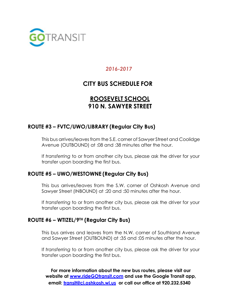

# **CITY BUS SCHEDULE FOR**

# **ROOSEVELT SCHOOL 910 N. SAWYER STREET**

## **ROUTE #3 – FVTC/UWO/LIBRARY (Regular City Bus)**

This bus arrives/leaves from the S.E. corner of Sawyer Street and Coolidge Avenue (OUTBOUND) at :08 and :38 minutes after the hour.

If *transferring* to or from another city bus, please ask the driver for your transfer upon boarding the first bus.

#### **ROUTE #5 – UWO/WESTOWNE (Regular City Bus)**

This bus arrives/leaves from the S.W. corner of Oshkosh Avenue and Sawyer Street (INBOUND) at :20 and :50 minutes after the hour.

If *transferring* to or from another city bus, please ask the driver for your transfer upon boarding the first bus.

#### **ROUTE #6 – WTIZEL/9TH (Regular City Bus)**

This bus arrives and leaves from the N.W. corner of Southland Avenue and Sawyer Street (OUTBOUND) at :35 and :05 minutes after the hour.

If *transferring* to or from another city bus, please ask the driver for your transfer upon boarding the first bus.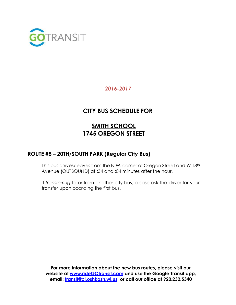

# **CITY BUS SCHEDULE FOR**

# **SMITH SCHOOL 1745 OREGON STREET**

## **ROUTE #8 – 20TH/SOUTH PARK (Regular City Bus)**

This bus arrives/leaves from the N.W. corner of Oregon Street and W 18th Avenue (OUTBOUND) at :34 and :04 minutes after the hour.

If *transferring* to or from another city bus, please ask the driver for your transfer upon boarding the first bus.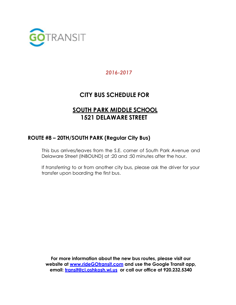

# **CITY BUS SCHEDULE FOR**

# **SOUTH PARK MIDDLE SCHOOL 1521 DELAWARE STREET**

## **ROUTE #8 – 20TH/SOUTH PARK (Regular City Bus)**

This bus arrives/leaves from the S.E. corner of South Park Avenue and Delaware Street (INBOUND) at :20 and :50 minutes after the hour.

If *transferring* to or from another city bus, please ask the driver for your transfer upon boarding the first bus.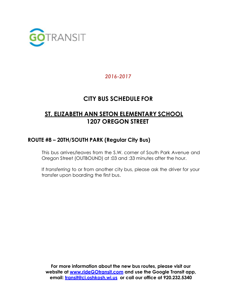

## **CITY BUS SCHEDULE FOR**

# **ST. ELIZABETH ANN SETON ELEMENTARY SCHOOL 1207 OREGON STREET**

## **ROUTE #8 – 20TH/SOUTH PARK (Regular City Bus)**

This bus arrives/leaves from the S.W. corner of South Park Avenue and Oregon Street (OUTBOUND) at :03 and :33 minutes after the hour.

If *transferring* to or from another city bus, please ask the driver for your transfer upon boarding the first bus.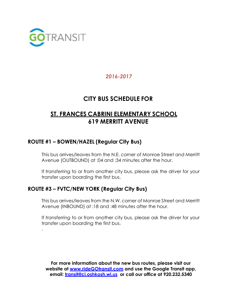

.

## *2016-2017*

# **CITY BUS SCHEDULE FOR**

# **ST. FRANCES CABRINI ELEMENTARY SCHOOL 619 MERRITT AVENUE**

## **ROUTE #1 – BOWEN/HAZEL (Regular City Bus)**

This bus arrives/leaves from the N.E. corner of Monroe Street and Merritt Avenue (OUTBOUND) at :04 and :34 minutes after the hour.

If *transferring* to or from another city bus, please ask the driver for your transfer upon boarding the first bus.

## **ROUTE #3 – FVTC/NEW YORK (Regular City Bus)**

This bus arrives/leaves from the N.W. corner of Monroe Street and Merritt Avenue (INBOUND) at :18 and :48 minutes after the hour.

If *transferring* to or from another city bus, please ask the driver for your transfer upon boarding the first bus.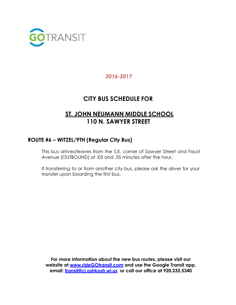

# **CITY BUS SCHEDULE FOR**

# **ST. JOHN NEUMANN MIDDLE SCHOOL 110 N. SAWYER STREET**

#### **ROUTE #6 – WITZEL/9TH (Regular City Bus)**

This bus arrives/leaves from the S.E. corner of Sawyer Street and Faust Avenue (OUTBOUND) at :05 and :35 minutes after the hour.

If *transferring* to or from another city bus, please ask the driver for your transfer upon boarding the first bus.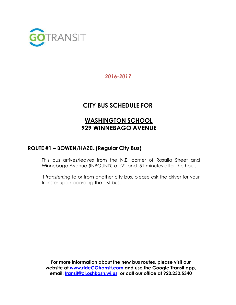

# **CITY BUS SCHEDULE FOR**

# **WASHINGTON SCHOOL 929 WINNEBAGO AVENUE**

#### **ROUTE #1 – BOWEN/HAZEL (Regular City Bus)**

This bus arrives/leaves from the N.E. corner of Rosalia Street and Winnebago Avenue (INBOUND) at :21 and :51 minutes after the hour.

If *transferring* to or from another city bus, please ask the driver for your transfer upon boarding the first bus.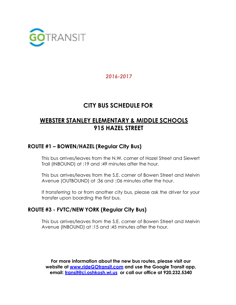

## **CITY BUS SCHEDULE FOR**

# **WEBSTER STANLEY ELEMENTARY & MIDDLE SCHOOLS 915 HAZEL STREET**

## **ROUTE #1 – BOWEN/HAZEL (Regular City Bus)**

This bus arrives/leaves from the N.W. corner of Hazel Street and Siewert Trail (INBOUND) at :19 and :49 minutes after the hour.

This bus arrives/leaves from the S.E. corner of Bowen Street and Melvin Avenue (OUTBOUND) at :36 and ::06 minutes after the hour.

If *transferring* to or from another city bus, please ask the driver for your transfer upon boarding the first bus.

#### **ROUTE #3 - FVTC/NEW YORK (Regular City Bus)**

This bus arrives/leaves from the S.E. corner of Bowen Street and Melvin Avenue (INBOUND) at :15 and :45 minutes after the hour.